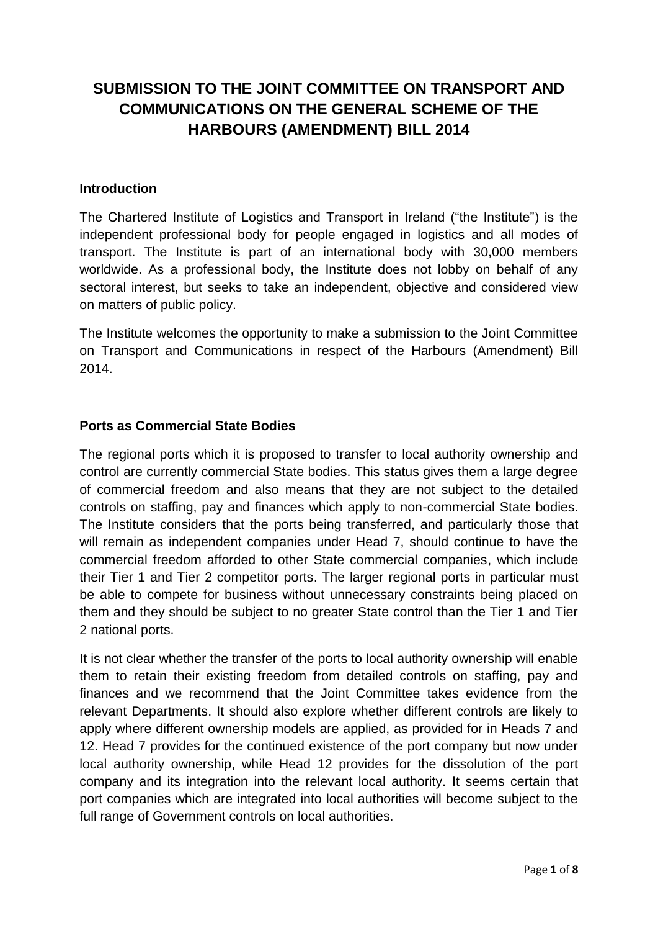# **SUBMISSION TO THE JOINT COMMITTEE ON TRANSPORT AND COMMUNICATIONS ON THE GENERAL SCHEME OF THE HARBOURS (AMENDMENT) BILL 2014**

## **Introduction**

The Chartered Institute of Logistics and Transport in Ireland ("the Institute") is the independent professional body for people engaged in logistics and all modes of transport. The Institute is part of an international body with 30,000 members worldwide. As a professional body, the Institute does not lobby on behalf of any sectoral interest, but seeks to take an independent, objective and considered view on matters of public policy.

The Institute welcomes the opportunity to make a submission to the Joint Committee on Transport and Communications in respect of the Harbours (Amendment) Bill 2014.

#### **Ports as Commercial State Bodies**

The regional ports which it is proposed to transfer to local authority ownership and control are currently commercial State bodies. This status gives them a large degree of commercial freedom and also means that they are not subject to the detailed controls on staffing, pay and finances which apply to non-commercial State bodies. The Institute considers that the ports being transferred, and particularly those that will remain as independent companies under Head 7, should continue to have the commercial freedom afforded to other State commercial companies, which include their Tier 1 and Tier 2 competitor ports. The larger regional ports in particular must be able to compete for business without unnecessary constraints being placed on them and they should be subject to no greater State control than the Tier 1 and Tier 2 national ports.

It is not clear whether the transfer of the ports to local authority ownership will enable them to retain their existing freedom from detailed controls on staffing, pay and finances and we recommend that the Joint Committee takes evidence from the relevant Departments. It should also explore whether different controls are likely to apply where different ownership models are applied, as provided for in Heads 7 and 12. Head 7 provides for the continued existence of the port company but now under local authority ownership, while Head 12 provides for the dissolution of the port company and its integration into the relevant local authority. It seems certain that port companies which are integrated into local authorities will become subject to the full range of Government controls on local authorities.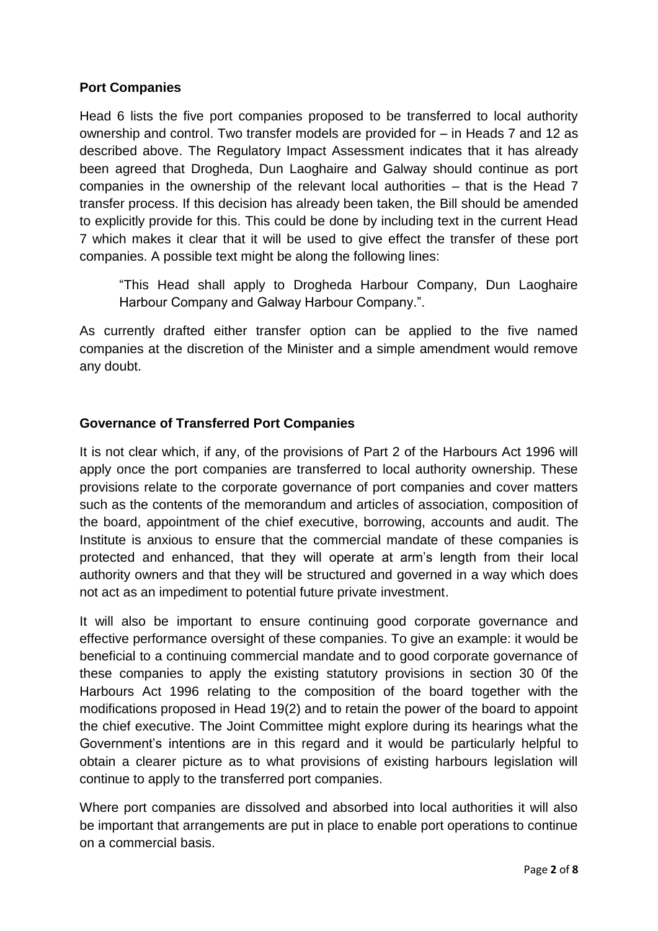## **Port Companies**

Head 6 lists the five port companies proposed to be transferred to local authority ownership and control. Two transfer models are provided for – in Heads 7 and 12 as described above. The Regulatory Impact Assessment indicates that it has already been agreed that Drogheda, Dun Laoghaire and Galway should continue as port companies in the ownership of the relevant local authorities – that is the Head 7 transfer process. If this decision has already been taken, the Bill should be amended to explicitly provide for this. This could be done by including text in the current Head 7 which makes it clear that it will be used to give effect the transfer of these port companies. A possible text might be along the following lines:

"This Head shall apply to Drogheda Harbour Company, Dun Laoghaire Harbour Company and Galway Harbour Company.".

As currently drafted either transfer option can be applied to the five named companies at the discretion of the Minister and a simple amendment would remove any doubt.

## **Governance of Transferred Port Companies**

It is not clear which, if any, of the provisions of Part 2 of the Harbours Act 1996 will apply once the port companies are transferred to local authority ownership. These provisions relate to the corporate governance of port companies and cover matters such as the contents of the memorandum and articles of association, composition of the board, appointment of the chief executive, borrowing, accounts and audit. The Institute is anxious to ensure that the commercial mandate of these companies is protected and enhanced, that they will operate at arm's length from their local authority owners and that they will be structured and governed in a way which does not act as an impediment to potential future private investment.

It will also be important to ensure continuing good corporate governance and effective performance oversight of these companies. To give an example: it would be beneficial to a continuing commercial mandate and to good corporate governance of these companies to apply the existing statutory provisions in section 30 0f the Harbours Act 1996 relating to the composition of the board together with the modifications proposed in Head 19(2) and to retain the power of the board to appoint the chief executive. The Joint Committee might explore during its hearings what the Government's intentions are in this regard and it would be particularly helpful to obtain a clearer picture as to what provisions of existing harbours legislation will continue to apply to the transferred port companies.

Where port companies are dissolved and absorbed into local authorities it will also be important that arrangements are put in place to enable port operations to continue on a commercial basis.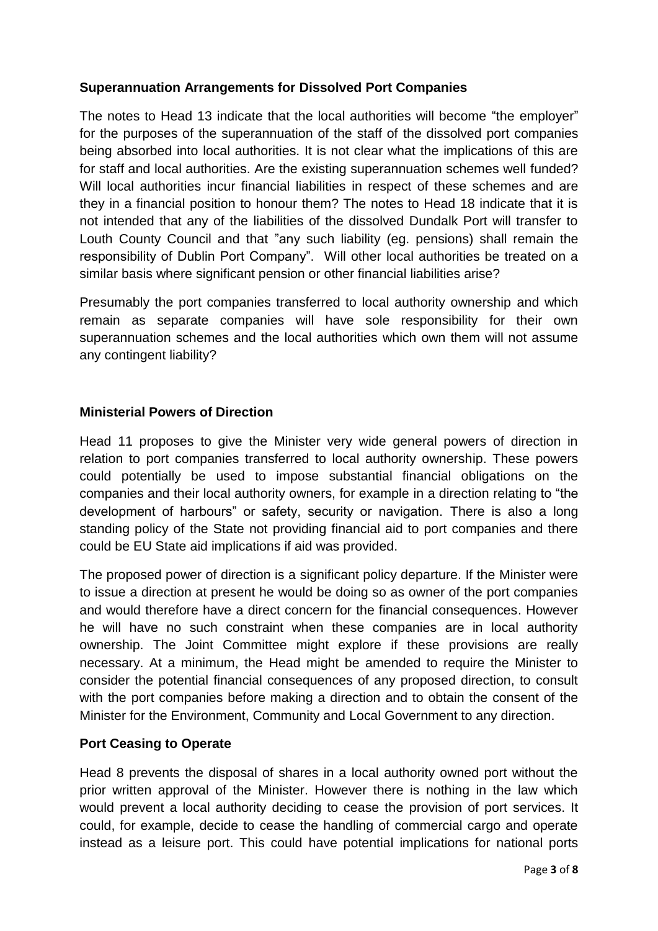# **Superannuation Arrangements for Dissolved Port Companies**

The notes to Head 13 indicate that the local authorities will become "the employer" for the purposes of the superannuation of the staff of the dissolved port companies being absorbed into local authorities. It is not clear what the implications of this are for staff and local authorities. Are the existing superannuation schemes well funded? Will local authorities incur financial liabilities in respect of these schemes and are they in a financial position to honour them? The notes to Head 18 indicate that it is not intended that any of the liabilities of the dissolved Dundalk Port will transfer to Louth County Council and that "any such liability (eg. pensions) shall remain the responsibility of Dublin Port Company". Will other local authorities be treated on a similar basis where significant pension or other financial liabilities arise?

Presumably the port companies transferred to local authority ownership and which remain as separate companies will have sole responsibility for their own superannuation schemes and the local authorities which own them will not assume any contingent liability?

## **Ministerial Powers of Direction**

Head 11 proposes to give the Minister very wide general powers of direction in relation to port companies transferred to local authority ownership. These powers could potentially be used to impose substantial financial obligations on the companies and their local authority owners, for example in a direction relating to "the development of harbours" or safety, security or navigation. There is also a long standing policy of the State not providing financial aid to port companies and there could be EU State aid implications if aid was provided.

The proposed power of direction is a significant policy departure. If the Minister were to issue a direction at present he would be doing so as owner of the port companies and would therefore have a direct concern for the financial consequences. However he will have no such constraint when these companies are in local authority ownership. The Joint Committee might explore if these provisions are really necessary. At a minimum, the Head might be amended to require the Minister to consider the potential financial consequences of any proposed direction, to consult with the port companies before making a direction and to obtain the consent of the Minister for the Environment, Community and Local Government to any direction.

## **Port Ceasing to Operate**

Head 8 prevents the disposal of shares in a local authority owned port without the prior written approval of the Minister. However there is nothing in the law which would prevent a local authority deciding to cease the provision of port services. It could, for example, decide to cease the handling of commercial cargo and operate instead as a leisure port. This could have potential implications for national ports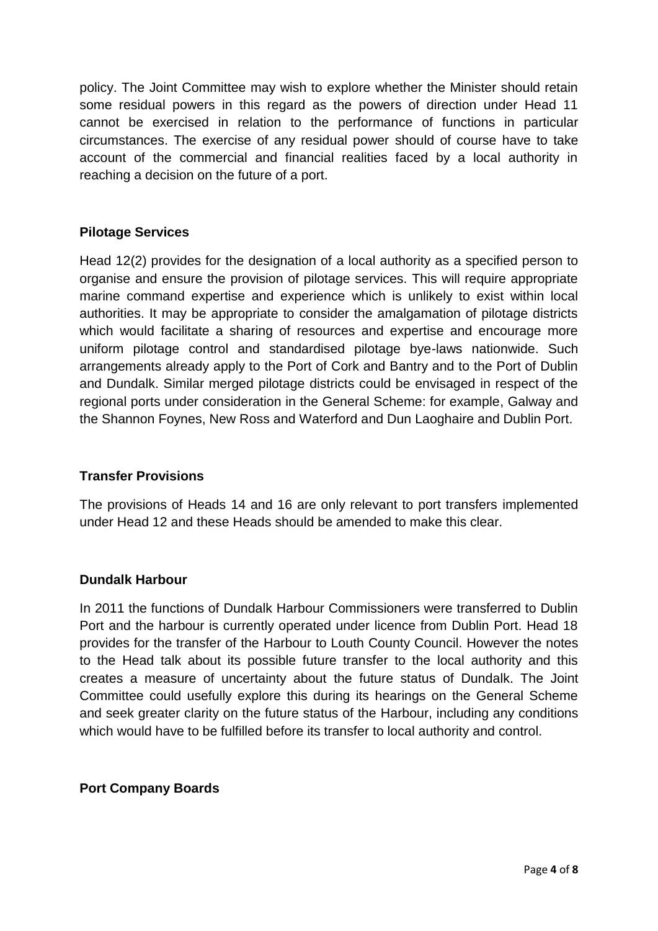policy. The Joint Committee may wish to explore whether the Minister should retain some residual powers in this regard as the powers of direction under Head 11 cannot be exercised in relation to the performance of functions in particular circumstances. The exercise of any residual power should of course have to take account of the commercial and financial realities faced by a local authority in reaching a decision on the future of a port.

## **Pilotage Services**

Head 12(2) provides for the designation of a local authority as a specified person to organise and ensure the provision of pilotage services. This will require appropriate marine command expertise and experience which is unlikely to exist within local authorities. It may be appropriate to consider the amalgamation of pilotage districts which would facilitate a sharing of resources and expertise and encourage more uniform pilotage control and standardised pilotage bye-laws nationwide. Such arrangements already apply to the Port of Cork and Bantry and to the Port of Dublin and Dundalk. Similar merged pilotage districts could be envisaged in respect of the regional ports under consideration in the General Scheme: for example, Galway and the Shannon Foynes, New Ross and Waterford and Dun Laoghaire and Dublin Port.

# **Transfer Provisions**

The provisions of Heads 14 and 16 are only relevant to port transfers implemented under Head 12 and these Heads should be amended to make this clear.

## **Dundalk Harbour**

In 2011 the functions of Dundalk Harbour Commissioners were transferred to Dublin Port and the harbour is currently operated under licence from Dublin Port. Head 18 provides for the transfer of the Harbour to Louth County Council. However the notes to the Head talk about its possible future transfer to the local authority and this creates a measure of uncertainty about the future status of Dundalk. The Joint Committee could usefully explore this during its hearings on the General Scheme and seek greater clarity on the future status of the Harbour, including any conditions which would have to be fulfilled before its transfer to local authority and control.

## **Port Company Boards**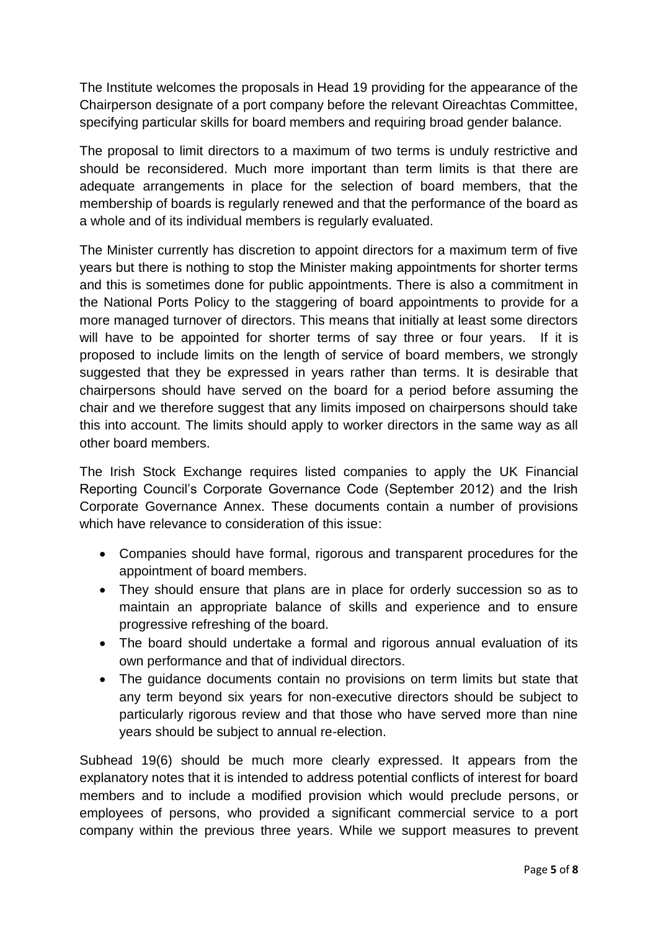The Institute welcomes the proposals in Head 19 providing for the appearance of the Chairperson designate of a port company before the relevant Oireachtas Committee, specifying particular skills for board members and requiring broad gender balance.

The proposal to limit directors to a maximum of two terms is unduly restrictive and should be reconsidered. Much more important than term limits is that there are adequate arrangements in place for the selection of board members, that the membership of boards is regularly renewed and that the performance of the board as a whole and of its individual members is regularly evaluated.

The Minister currently has discretion to appoint directors for a maximum term of five years but there is nothing to stop the Minister making appointments for shorter terms and this is sometimes done for public appointments. There is also a commitment in the National Ports Policy to the staggering of board appointments to provide for a more managed turnover of directors. This means that initially at least some directors will have to be appointed for shorter terms of say three or four years. If it is proposed to include limits on the length of service of board members, we strongly suggested that they be expressed in years rather than terms. It is desirable that chairpersons should have served on the board for a period before assuming the chair and we therefore suggest that any limits imposed on chairpersons should take this into account. The limits should apply to worker directors in the same way as all other board members.

The Irish Stock Exchange requires listed companies to apply the UK Financial Reporting Council's Corporate Governance Code (September 2012) and the Irish Corporate Governance Annex. These documents contain a number of provisions which have relevance to consideration of this issue:

- Companies should have formal, rigorous and transparent procedures for the appointment of board members.
- They should ensure that plans are in place for orderly succession so as to maintain an appropriate balance of skills and experience and to ensure progressive refreshing of the board.
- The board should undertake a formal and rigorous annual evaluation of its own performance and that of individual directors.
- The guidance documents contain no provisions on term limits but state that any term beyond six years for non-executive directors should be subject to particularly rigorous review and that those who have served more than nine years should be subject to annual re-election.

Subhead 19(6) should be much more clearly expressed. It appears from the explanatory notes that it is intended to address potential conflicts of interest for board members and to include a modified provision which would preclude persons, or employees of persons, who provided a significant commercial service to a port company within the previous three years. While we support measures to prevent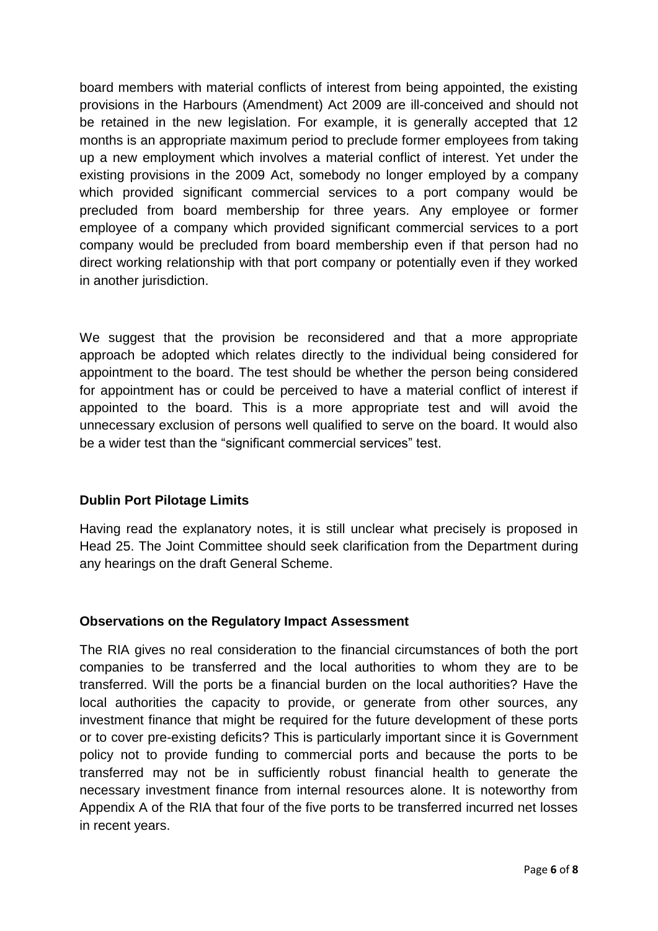board members with material conflicts of interest from being appointed, the existing provisions in the Harbours (Amendment) Act 2009 are ill-conceived and should not be retained in the new legislation. For example, it is generally accepted that 12 months is an appropriate maximum period to preclude former employees from taking up a new employment which involves a material conflict of interest. Yet under the existing provisions in the 2009 Act, somebody no longer employed by a company which provided significant commercial services to a port company would be precluded from board membership for three years. Any employee or former employee of a company which provided significant commercial services to a port company would be precluded from board membership even if that person had no direct working relationship with that port company or potentially even if they worked in another jurisdiction.

We suggest that the provision be reconsidered and that a more appropriate approach be adopted which relates directly to the individual being considered for appointment to the board. The test should be whether the person being considered for appointment has or could be perceived to have a material conflict of interest if appointed to the board. This is a more appropriate test and will avoid the unnecessary exclusion of persons well qualified to serve on the board. It would also be a wider test than the "significant commercial services" test.

# **Dublin Port Pilotage Limits**

Having read the explanatory notes, it is still unclear what precisely is proposed in Head 25. The Joint Committee should seek clarification from the Department during any hearings on the draft General Scheme.

# **Observations on the Regulatory Impact Assessment**

The RIA gives no real consideration to the financial circumstances of both the port companies to be transferred and the local authorities to whom they are to be transferred. Will the ports be a financial burden on the local authorities? Have the local authorities the capacity to provide, or generate from other sources, any investment finance that might be required for the future development of these ports or to cover pre-existing deficits? This is particularly important since it is Government policy not to provide funding to commercial ports and because the ports to be transferred may not be in sufficiently robust financial health to generate the necessary investment finance from internal resources alone. It is noteworthy from Appendix A of the RIA that four of the five ports to be transferred incurred net losses in recent years.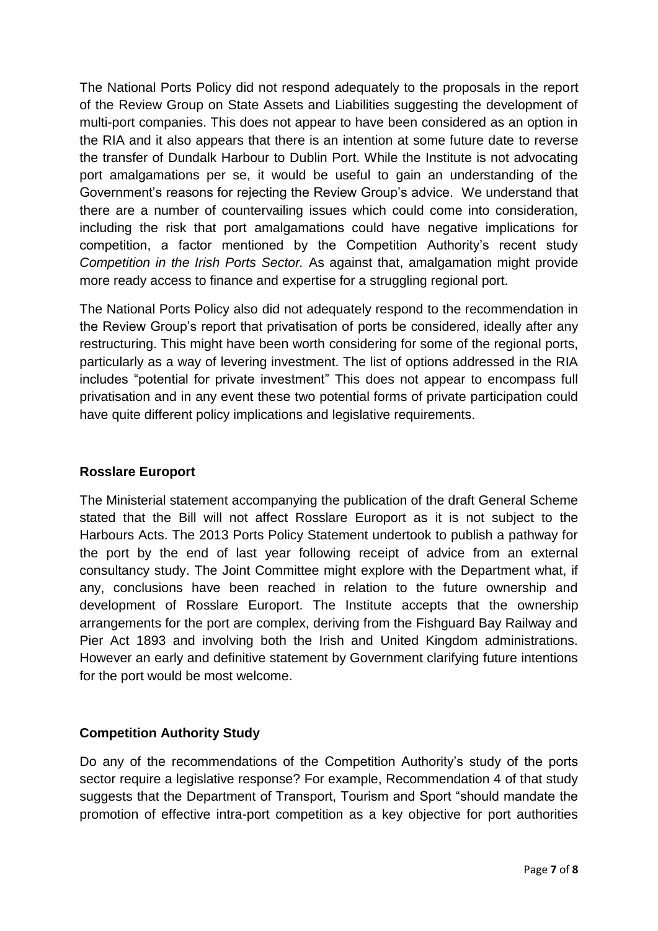The National Ports Policy did not respond adequately to the proposals in the report of the Review Group on State Assets and Liabilities suggesting the development of multi-port companies. This does not appear to have been considered as an option in the RIA and it also appears that there is an intention at some future date to reverse the transfer of Dundalk Harbour to Dublin Port. While the Institute is not advocating port amalgamations per se, it would be useful to gain an understanding of the Government's reasons for rejecting the Review Group's advice. We understand that there are a number of countervailing issues which could come into consideration, including the risk that port amalgamations could have negative implications for competition, a factor mentioned by the Competition Authority's recent study *Competition in the Irish Ports Sector.* As against that, amalgamation might provide more ready access to finance and expertise for a struggling regional port.

The National Ports Policy also did not adequately respond to the recommendation in the Review Group's report that privatisation of ports be considered, ideally after any restructuring. This might have been worth considering for some of the regional ports, particularly as a way of levering investment. The list of options addressed in the RIA includes "potential for private investment" This does not appear to encompass full privatisation and in any event these two potential forms of private participation could have quite different policy implications and legislative requirements.

# **Rosslare Europort**

The Ministerial statement accompanying the publication of the draft General Scheme stated that the Bill will not affect Rosslare Europort as it is not subject to the Harbours Acts. The 2013 Ports Policy Statement undertook to publish a pathway for the port by the end of last year following receipt of advice from an external consultancy study. The Joint Committee might explore with the Department what, if any, conclusions have been reached in relation to the future ownership and development of Rosslare Europort. The Institute accepts that the ownership arrangements for the port are complex, deriving from the Fishguard Bay Railway and Pier Act 1893 and involving both the Irish and United Kingdom administrations. However an early and definitive statement by Government clarifying future intentions for the port would be most welcome.

# **Competition Authority Study**

Do any of the recommendations of the Competition Authority's study of the ports sector require a legislative response? For example, Recommendation 4 of that study suggests that the Department of Transport, Tourism and Sport "should mandate the promotion of effective intra-port competition as a key objective for port authorities